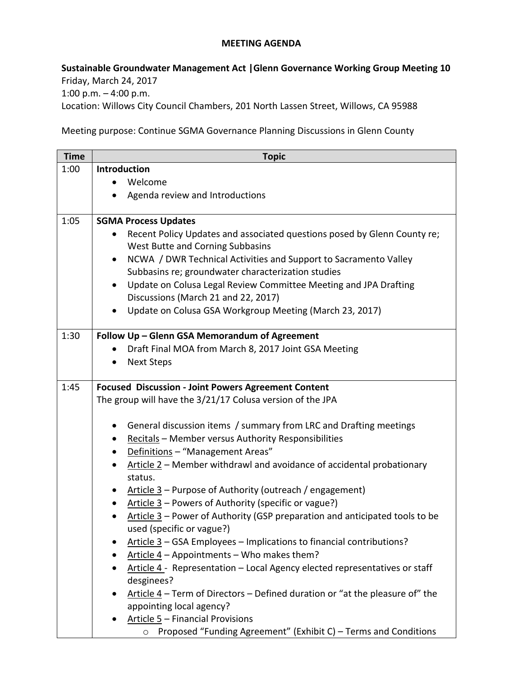## **MEETING AGENDA**

**Sustainable Groundwater Management Act |Glenn Governance Working Group Meeting 10** Friday, March 24, 2017 1:00 p.m. – 4:00 p.m.

Location: Willows City Council Chambers, 201 North Lassen Street, Willows, CA 95988

Meeting purpose: Continue SGMA Governance Planning Discussions in Glenn County

| <b>Time</b> | <b>Topic</b>                                                                                             |
|-------------|----------------------------------------------------------------------------------------------------------|
| 1:00        | <b>Introduction</b>                                                                                      |
|             | Welcome                                                                                                  |
|             | Agenda review and Introductions                                                                          |
| 1:05        | <b>SGMA Process Updates</b>                                                                              |
|             | Recent Policy Updates and associated questions posed by Glenn County re;                                 |
|             | West Butte and Corning Subbasins                                                                         |
|             | NCWA / DWR Technical Activities and Support to Sacramento Valley<br>٠                                    |
|             | Subbasins re; groundwater characterization studies                                                       |
|             | Update on Colusa Legal Review Committee Meeting and JPA Drafting<br>$\bullet$                            |
|             | Discussions (March 21 and 22, 2017)                                                                      |
|             | Update on Colusa GSA Workgroup Meeting (March 23, 2017)                                                  |
| 1:30        | Follow Up - Glenn GSA Memorandum of Agreement                                                            |
|             | Draft Final MOA from March 8, 2017 Joint GSA Meeting                                                     |
|             | <b>Next Steps</b>                                                                                        |
| 1:45        | <b>Focused Discussion - Joint Powers Agreement Content</b>                                               |
|             | The group will have the 3/21/17 Colusa version of the JPA                                                |
|             | General discussion items / summary from LRC and Drafting meetings                                        |
|             | Recitals - Member versus Authority Responsibilities                                                      |
|             | Definitions - "Management Areas"<br>$\bullet$                                                            |
|             | Article 2 - Member withdrawl and avoidance of accidental probationary<br>$\bullet$<br>status.            |
|             | Article $3$ – Purpose of Authority (outreach / engagement)                                               |
|             | Article $3$ – Powers of Authority (specific or vague?)<br>٠                                              |
|             | Article 3 – Power of Authority (GSP preparation and anticipated tools to be<br>used (specific or vague?) |
|             | Article 3 – GSA Employees – Implications to financial contributions?                                     |
|             | Article 4 - Appointments - Who makes them?                                                               |
|             | Article 4 - Representation - Local Agency elected representatives or staff<br>desginees?                 |
|             | Article $4$ – Term of Directors – Defined duration or "at the pleasure of" the                           |
|             | appointing local agency?                                                                                 |
|             | Article 5 - Financial Provisions                                                                         |
|             | Proposed "Funding Agreement" (Exhibit C) - Terms and Conditions<br>$\circ$                               |